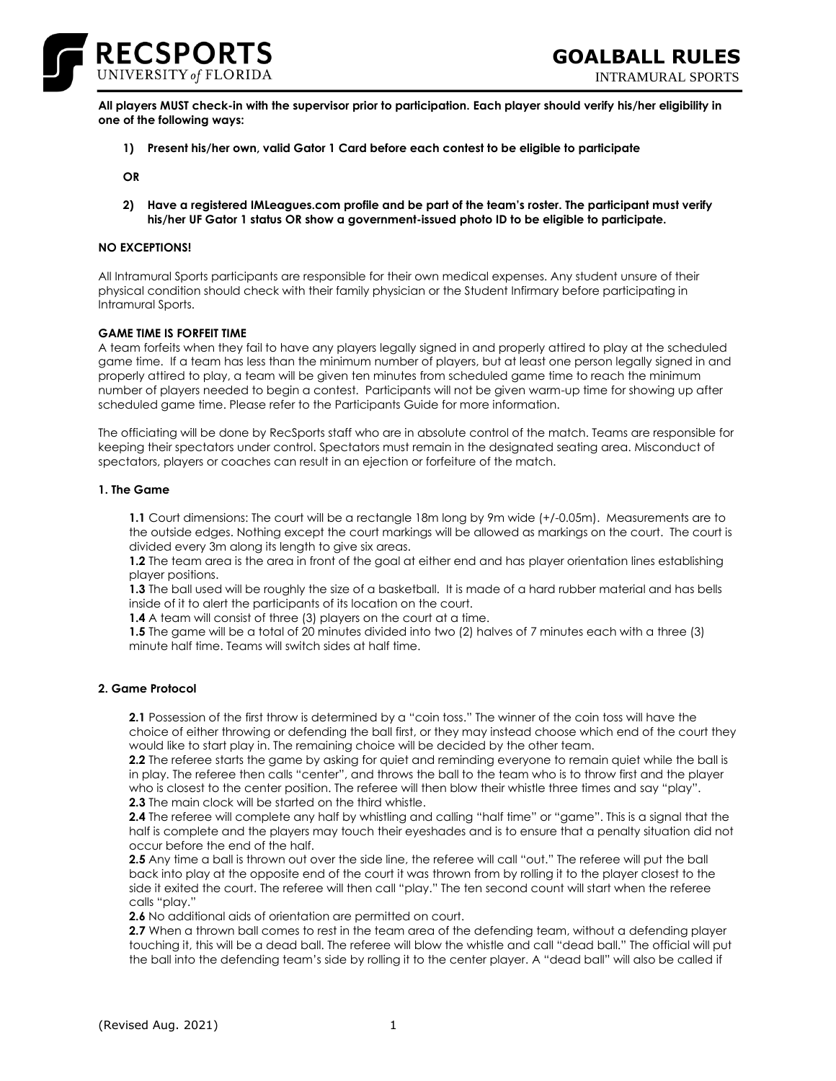

INTRAMURAL SPORTS

**All players MUST check-in with the supervisor prior to participation. Each player should verify his/her eligibility in one of the following ways:**

**1) Present his/her own, valid Gator 1 Card before each contest to be eligible to participate**

**OR**

**2) Have a registered IMLeagues.com profile and be part of the team's roster. The participant must verify his/her UF Gator 1 status OR show a government-issued photo ID to be eligible to participate.**

# **NO EXCEPTIONS!**

All Intramural Sports participants are responsible for their own medical expenses. Any student unsure of their physical condition should check with their family physician or the Student Infirmary before participating in Intramural Sports.

### **GAME TIME IS FORFEIT TIME**

A team forfeits when they fail to have any players legally signed in and properly attired to play at the scheduled game time. If a team has less than the minimum number of players, but at least one person legally signed in and properly attired to play, a team will be given ten minutes from scheduled game time to reach the minimum number of players needed to begin a contest. Participants will not be given warm-up time for showing up after scheduled game time. Please refer to the Participants Guide for more information.

The officiating will be done by RecSports staff who are in absolute control of the match. Teams are responsible for keeping their spectators under control. Spectators must remain in the designated seating area. Misconduct of spectators, players or coaches can result in an ejection or forfeiture of the match.

### **1. The Game**

**1.1** Court dimensions: The court will be a rectangle 18m long by 9m wide (+/-0.05m). Measurements are to the outside edges. Nothing except the court markings will be allowed as markings on the court. The court is divided every 3m along its length to give six areas.

**1.2** The team area is the area in front of the goal at either end and has player orientation lines establishing player positions.

**1.3** The ball used will be roughly the size of a basketball. It is made of a hard rubber material and has bells inside of it to alert the participants of its location on the court.

**1.4** A team will consist of three (3) players on the court at a time.

**1.5** The game will be a total of 20 minutes divided into two (2) halves of 7 minutes each with a three (3) minute half time. Teams will switch sides at half time.

# **2. Game Protocol**

**2.1** Possession of the first throw is determined by a "coin toss." The winner of the coin toss will have the choice of either throwing or defending the ball first, or they may instead choose which end of the court they would like to start play in. The remaining choice will be decided by the other team.

**2.2** The referee starts the game by asking for quiet and reminding everyone to remain quiet while the ball is in play. The referee then calls "center", and throws the ball to the team who is to throw first and the player who is closest to the center position. The referee will then blow their whistle three times and say "play". **2.3** The main clock will be started on the third whistle.

**2.4** The referee will complete any half by whistling and calling "half time" or "game". This is a signal that the half is complete and the players may touch their eyeshades and is to ensure that a penalty situation did not occur before the end of the half.

**2.5** Any time a ball is thrown out over the side line, the referee will call "out." The referee will put the ball back into play at the opposite end of the court it was thrown from by rolling it to the player closest to the side it exited the court. The referee will then call "play." The ten second count will start when the referee calls "play."

**2.6** No additional aids of orientation are permitted on court.

**2.7** When a thrown ball comes to rest in the team area of the defending team, without a defending player touching it, this will be a dead ball. The referee will blow the whistle and call "dead ball." The official will put the ball into the defending team's side by rolling it to the center player. A "dead ball" will also be called if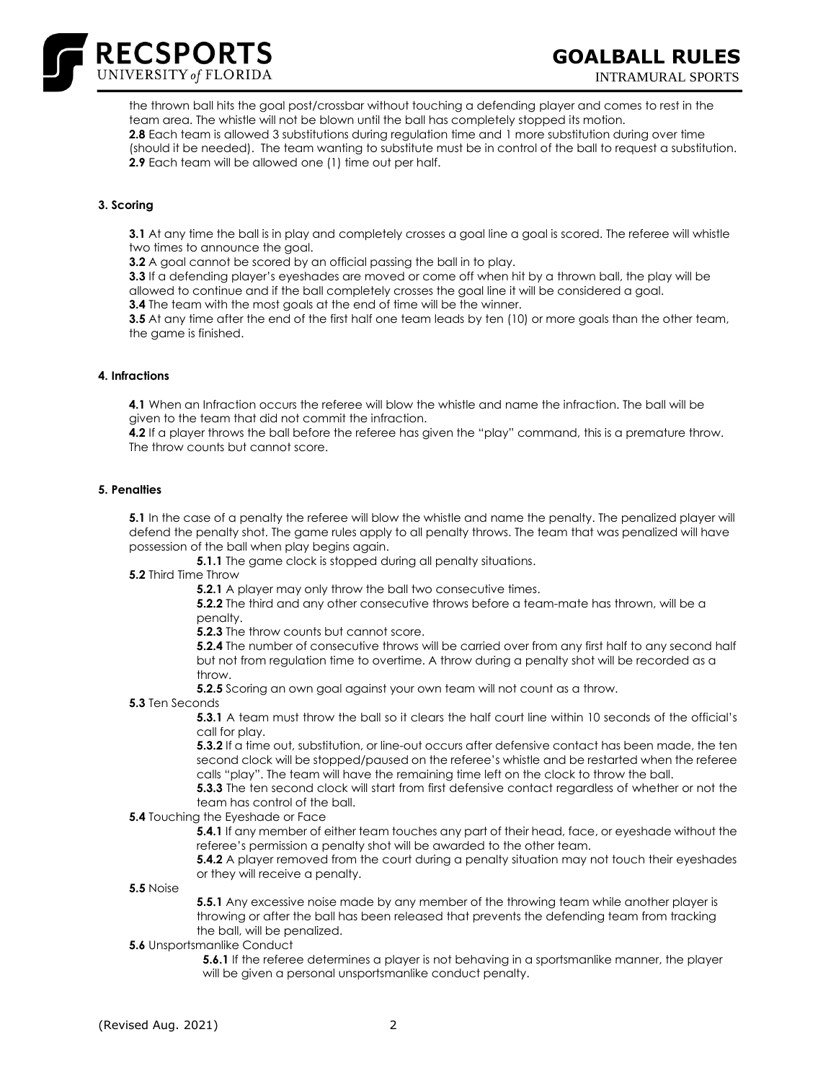

INTRAMURAL SPORTS

the thrown ball hits the goal post/crossbar without touching a defending player and comes to rest in the team area. The whistle will not be blown until the ball has completely stopped its motion. **2.8** Each team is allowed 3 substitutions during regulation time and 1 more substitution during over time (should it be needed). The team wanting to substitute must be in control of the ball to request a substitution. **2.9** Each team will be allowed one (1) time out per half.

# **3. Scoring**

**3.1** At any time the ball is in play and completely crosses a goal line a goal is scored. The referee will whistle two times to announce the goal.

**3.2** A goal cannot be scored by an official passing the ball in to play.

**3.3** If a defending player's eyeshades are moved or come off when hit by a thrown ball, the play will be allowed to continue and if the ball completely crosses the goal line it will be considered a goal.

**3.4** The team with the most goals at the end of time will be the winner.

**3.5** At any time after the end of the first half one team leads by ten (10) or more goals than the other team, the game is finished.

# **4. Infractions**

**4.1** When an Infraction occurs the referee will blow the whistle and name the infraction. The ball will be given to the team that did not commit the infraction.

**4.2** If a player throws the ball before the referee has given the "play" command, this is a premature throw. The throw counts but cannot score.

#### **5. Penalties**

**5.1** In the case of a penalty the referee will blow the whistle and name the penalty. The penalized player will defend the penalty shot. The game rules apply to all penalty throws. The team that was penalized will have possession of the ball when play begins again.

**5.1.1** The game clock is stopped during all penalty situations.

**5.2** Third Time Throw

**5.2.1** A player may only throw the ball two consecutive times.

**5.2.2** The third and any other consecutive throws before a team-mate has thrown, will be a penalty.

**5.2.3** The throw counts but cannot score.

**5.2.4** The number of consecutive throws will be carried over from any first half to any second half but not from regulation time to overtime. A throw during a penalty shot will be recorded as a throw.

**5.2.5** Scoring an own goal against your own team will not count as a throw.

**5.3** Ten Seconds

**5.3.1** A team must throw the ball so it clears the half court line within 10 seconds of the official's call for play.

**5.3.2** If a time out, substitution, or line-out occurs after defensive contact has been made, the ten second clock will be stopped/paused on the referee's whistle and be restarted when the referee calls "play". The team will have the remaining time left on the clock to throw the ball.

**5.3.3** The ten second clock will start from first defensive contact regardless of whether or not the team has control of the ball.

**5.4** Touching the Eyeshade or Face

**5.4.1** If any member of either team touches any part of their head, face, or eyeshade without the referee's permission a penalty shot will be awarded to the other team.

**5.4.2** A player removed from the court during a penalty situation may not touch their eyeshades or they will receive a penalty.

# **5.5** Noise

**5.5.1** Any excessive noise made by any member of the throwing team while another player is throwing or after the ball has been released that prevents the defending team from tracking the ball, will be penalized.

**5.6** Unsportsmanlike Conduct

**5.6.1** If the referee determines a player is not behaving in a sportsmanlike manner, the player will be given a personal unsportsmanlike conduct penalty.